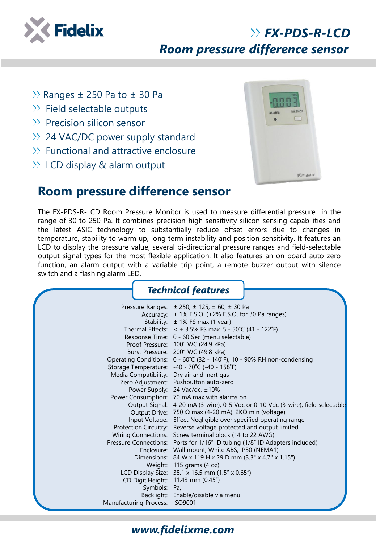

# *FX-PDS-R-LCD Room pressure difference sensor*

- $\gg$  Ranges  $\pm$  250 Pa to  $\pm$  30 Pa
- $\gg$  Field selectable outputs
- $\gg$  Precision silicon sensor
- >> 24 VAC/DC power supply standard
- $\gg$  Functional and attractive enclosure
- $\gg$  LCD display & alarm output



### **Room pressure difference sensor**

The FX-PDS-R-LCD Room Pressure Monitor is used to measure differential pressure in the range of 30 to 250 Pa. It combines precision high sensitivity silicon sensing capabilities and the latest ASIC technology to substantially reduce offset errors due to changes in temperature, stability to warm up, long term instability and position sensitivity. It features an LCD to display the pressure value, several bi-directional pressure ranges and field-selectable output signal types for the most flexible application. It also features an on-board auto-zero function, an alarm output with a variable trip point, a remote buzzer output with silence switch and a flashing alarm LED.

|                                                | <b>Technical features</b>                                                                                                                                                                                                                                                                                                                                                                                                                                                                                                                                                                                                                                                                                                                                                                                                                                                                                                                                                                                                                                                                                                                                                                                                                                                                                                                                                               |
|------------------------------------------------|-----------------------------------------------------------------------------------------------------------------------------------------------------------------------------------------------------------------------------------------------------------------------------------------------------------------------------------------------------------------------------------------------------------------------------------------------------------------------------------------------------------------------------------------------------------------------------------------------------------------------------------------------------------------------------------------------------------------------------------------------------------------------------------------------------------------------------------------------------------------------------------------------------------------------------------------------------------------------------------------------------------------------------------------------------------------------------------------------------------------------------------------------------------------------------------------------------------------------------------------------------------------------------------------------------------------------------------------------------------------------------------------|
| Symbols: Pa,<br>Manufacturing Process: ISO9001 | Pressure Ranges: $\pm 250$ , $\pm 125$ , $\pm 60$ , $\pm 30$ Pa<br>Accuracy: $\pm$ 1% F.S.O. ( $\pm$ 2% F.S.O. for 30 Pa ranges)<br>Stability: ± 1% FS max (1 year)<br>Thermal Effects: $4 \pm 3.5\%$ FS max, 5 - 50°C (41 - 122°F)<br>Response Time: 0 - 60 Sec (menu selectable)<br>Proof Pressure: 100" WC (24.9 kPa)<br>Burst Pressure: 200" WC (49.8 kPa)<br>Operating Conditions: 0 - 60°C (32 - 140°F), 10 - 90% RH non-condensing<br>Storage Temperature: -40 - 70°C (-40 - 158°F)<br>Media Compatibility: Dry air and inert gas<br>Zero Adjustment: Pushbutton auto-zero<br>Power Supply: 24 Vac/dc, ±10%<br>Power Consumption: 70 mA max with alarms on<br>Output Signal: 4-20 mA (3-wire), 0-5 Vdc or 0-10 Vdc (3-wire), field selectable<br>Output Drive: 750 $\Omega$ max (4-20 mA), 2K $\Omega$ min (voltage)<br>Input Voltage: Effect Negligible over specified operating range<br>Protection Circuitry: Reverse voltage protected and output limited<br>Wiring Connections: Screw terminal block (14 to 22 AWG)<br>Pressure Connections: Ports for 1/16" ID tubing (1/8" ID Adapters included)<br>Enclosure: Wall mount, White ABS, IP30 (NEMA1)<br>Dimensions: 84 W x 119 H x 29 D mm (3.3" x 4.7" x 1.15")<br>Weight: 115 grams (4 oz)<br>LCD Display Size: 38.1 x 16.5 mm (1.5" x 0.65")<br>LCD Digit Height: 11.43 mm (0.45")<br>Backlight: Enable/disable via menu |

### *www.fidelixme.com*